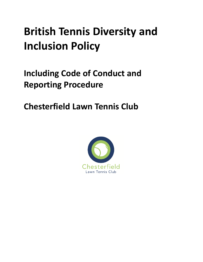# **British Tennis Diversity and Inclusion Policy**

## <span id="page-0-0"></span>**Including Code of Conduct and Reporting Procedure**

**Chesterfield Lawn Tennis Club**

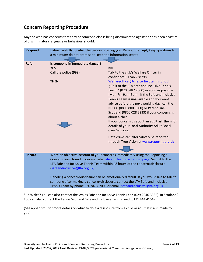### **Concern Reporting Procedure**

Anyone who has concerns that they or someone else is being discriminated against or has been a victim of discriminatory language or behaviour should:

| <b>Respond</b> | Listen carefully to what the person is telling you. Do not interrupt; keep questions to<br>a minimum; do not promise to keep the information secret |                                                                              |  |
|----------------|-----------------------------------------------------------------------------------------------------------------------------------------------------|------------------------------------------------------------------------------|--|
|                |                                                                                                                                                     |                                                                              |  |
| <b>Refer</b>   | Is someone in immediate danger?                                                                                                                     |                                                                              |  |
|                | <b>YES</b>                                                                                                                                          | <b>NO</b>                                                                    |  |
|                | Call the police (999)                                                                                                                               | Talk to the club's Welfare Officer in                                        |  |
|                |                                                                                                                                                     | confidence 01246 238798.                                                     |  |
|                | <b>THEN</b>                                                                                                                                         | Welfareofficer@chesterfieldtennis.org.uk                                     |  |
|                |                                                                                                                                                     | ; Talk to the LTA Safe and Inclusive Tennis                                  |  |
|                |                                                                                                                                                     | Team * (020 8487 7000) as soon as possible                                   |  |
|                |                                                                                                                                                     | [Mon-Fri, 9am-5pm]. If the Safe and Inclusive                                |  |
|                |                                                                                                                                                     | Tennis Team is unavailable and you want                                      |  |
|                |                                                                                                                                                     | advice before the next working day, call the                                 |  |
|                |                                                                                                                                                     | NSPCC (0808 800 5000) or Parent Line                                         |  |
|                |                                                                                                                                                     | Scotland (0800 028 2233) if your concerns is                                 |  |
|                |                                                                                                                                                     | about a child.                                                               |  |
|                |                                                                                                                                                     | If your concern us about an adult ask them for                               |  |
|                |                                                                                                                                                     | details of your Local Authority Adult Social                                 |  |
|                |                                                                                                                                                     | Care Services.                                                               |  |
|                |                                                                                                                                                     | Hate crime can alternatively be reported                                     |  |
|                |                                                                                                                                                     | through True Vision at www.report-it.org.uk                                  |  |
|                |                                                                                                                                                     |                                                                              |  |
| <b>Record</b>  | Write an objective account of your concerns immediately using the Reporting a                                                                       |                                                                              |  |
|                | Concern Form found in our website Safe and Inclusive Tennis page. Send it to the                                                                    |                                                                              |  |
|                |                                                                                                                                                     | LTA Safe and Inclusive Tennis Team within 48 hours of the concern/disclosure |  |
|                | (safeandinclusive@Ita.org.uk)                                                                                                                       |                                                                              |  |
|                | Handling a concern/disclosure can be emotionally difficult. If you would like to talk to                                                            |                                                                              |  |
|                | someone after making a concern/disclosure, contact the LTA Safe and Inclusive                                                                       |                                                                              |  |
|                |                                                                                                                                                     | Tennis Team by phone 020 8487 7000 or email safeandinclusive@lta.org.uk      |  |

**\*** In Wales? You can also contact the Wales Safe and Inclusive Tennis Lead (029 2046 3335). In Scotland? You can also contact the Tennis Scotland Safe and Inclusive Tennis Lead (0131 444 4154).

(See appendix C for more details on what to do if a disclosure from a child or adult at risk is made to you)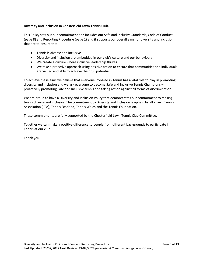#### **Diversity and Inclusion in Chesterfield Lawn Tennis Club.**

This Policy sets out our commitment and includes our Safe and Inclusive Standards, Code of Conduct (page 8) and Reporting Procedure (page 2) and it supports our overall aims for diversity and inclusion that are to ensure that:

- Tennis is diverse and inclusive
- Diversity and inclusion are embedded in our club's culture and our behaviours
- We create a culture where inclusive leadership thrives
- We take a proactive approach using positive action to ensure that communities and individuals are valued and able to achieve their full potential.

To achieve these aims we believe that everyone involved in Tennis has a vital role to play in promoting diversity and inclusion and we ask everyone to become Safe and Inclusive Tennis Champions – proactively promoting Safe and Inclusive tennis and taking action against all forms of discrimination.

We are proud to have a Diversity and Inclusion Policy that demonstrates our commitment to making tennis diverse and inclusive. The commitment to Diversity and Inclusion is upheld by all - Lawn Tennis Association (LTA), Tennis Scotland, Tennis Wales and the Tennis Foundation.

These commitments are fully supported by the Chesterfield Lawn Tennis Club Committee.

Together we can make a positive difference to people from different backgrounds to participate in Tennis at our club.

Thank you.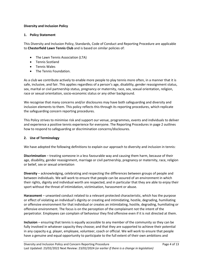#### **Diversity and Inclusion Policy**

#### **1. Policy Statement**

This Diversity and Inclusion Policy, Standards, Code of Conduct and Reporting Procedure are applicable to **Chesterfield Lawn Tennis Club** and is based on similar policies of:

- The Lawn Tennis Association (LTA)
- Tennis Scotland
- Tennis Wales
- The Tennis Foundation.

As a club we contribute actively to enable more people to play tennis more often, in a manner that it is safe, inclusive, and fair. This applies regardless of a person's age, disability, gender reassignment status, sex, marital or civil partnership status, pregnancy or maternity, race, sex, sexual orientation, religion, race or sexual orientation, socio-economic status or any other background.

We recognise that many concerns and/or disclosures may have both safeguarding and diversity and inclusion elements to them. This policy reflects this through its reporting procedures, which replicate the safeguarding concern reporting procedures.

This Policy strives to minimise risk and support our venue, programmes, events and individuals to deliver and experience a positive tennis experience for everyone. The Reporting Procedures in page 2 outlines how to respond to safeguarding or discrimination concerns/disclosures.

#### **2. Use of Terminology**

We have adopted the following definitions to explain our approach to diversity and inclusion in tennis:

**Discrimination** – treating someone in a less favourable way and causing them harm, because of their age, disability, gender reassignment, marriage or civil partnership, pregnancy or maternity, race, religion or belief, sex or sexual orientation

**Diversity** – acknowledging, celebrating and respecting the differences between groups of people and between individuals. We will work to ensure that people can be assured of an environment in which their rights, dignity and individual worth are respected, and in particular that they are able to enjoy their sport without the threat of intimidation, victimisation, harassment or abuse.

**Harassment** – unwanted conduct related to a relevant protected characteristic, which has the purpose or effect of violating an individual's dignity or creating and intimidating, hostile, degrading, humiliating or offensive environment for that individual or creates an intimidating, hostile, degrading, humiliating or offensive environment. The focus is on the perception of the complainant not the intent of the perpetrator. Employees can complain of behaviour they find offensive even if it is not directed at them.

**Inclusion** – ensuring that tennis is equally accessible to any member of the community so they can be fully involved in whatever capacity they choose; and that they are supported to achieve their potential in any capacity e.g. player, employee, volunteer, coach or official. We will work to ensure that people have a genuine and equal opportunity to participate to the full extent of their own ambitions and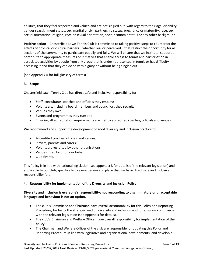abilities, that they feel respected and valued and are not singled out, with regard to their age, disability, gender reassignment status, sex, marital or civil partnership status, pregnancy or maternity, race, sex, sexual orientation, religion, race or sexual orientation, socio-economic status or any other background.

**Positive action** – Chesterfield Lawn Tennis Club is committed to taking positive steps to counteract the effects of physical or cultural barriers – whether real or perceived – that restrict the opportunity for all sections of the community to participate equally and fully. We will ensure that we institute, support or contribute to appropriate measures or initiatives that enable access to tennis and participation in associated activities by people from any group that is under-represented in tennis or has difficulty accessing it and that they can do so with dignity or without being singled out.

(See Appendix A for full glossary of terms)

#### **3. Scope**

Chesterfield Lawn Tennis Club has direct safe and inclusive responsibility for:

- Staff, consultants, coaches and officials they employ;
- Volunteers, including board members and councillors they recruit;
- Venues they own;
- Events and programmes they run; and
- Ensuring all accreditation requirements are met by accredited coaches, officials and venues.

We recommend and support the development of good diversity and inclusion practice to:

- Accredited coaches, officials and venues;
- Players, parents and carers;
- Volunteers recruited by other organisations;
- Venues hired by or on our behalf
- Club Events.

This Policy is in line with national legislation (see appendix B for details of the relevant legislation) and applicable to our club, specifically to every person and place that we have direct safe and inclusive responsibility for.

#### **4. Responsibility for implementation of the Diversity and Inclusion Policy**

#### **Diversity and inclusion is everyone's responsibility: not responding to discriminatory or unacceptable language and behaviour is not an option.**

- The club's Committee and Chairman have overall accountability for this Policy and Reporting Procedure, for being the strategic lead on diversity and inclusion and for ensuring compliance with the relevant legislation (see Appendix for details).
- The club's Chairman and Welfare Officer have overall responsibility for implementation of the policy.
- The Chairman and Welfare Officer of the club are responsible for updating this Policy and Reporting Procedure in line with legislative and organisational developments; and develop a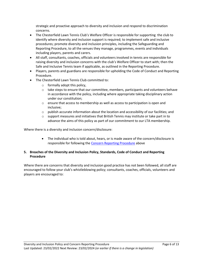strategic and proactive approach to diversity and inclusion and respond to discrimination concerns.

- The Chesterfield Lawn Tennis Club's Welfare Officer is responsible for supporting the club to identify where diversity and inclusion support is required; to implement safe and inclusive procedures; promote diversity and inclusion principles, including the Safeguarding and Reporting Procedure, to all the venues they manage, programmes, events and individuals including players, parents and carers.
- All staff, consultants, coaches, officials and volunteers involved in tennis are responsible for raising diversity and inclusion concerns with the club's Welfare Officer to start with; then the Safe and Inclusive Tennis team if applicable, as outlined in the Reporting Procedure.
- Players, parents and guardians are responsible for upholding the Code of Conduct and Reporting Procedure.
- The Chesterfield Lawn Tennis Club committed to:
	- $\circ$  formally adopt this policy,
	- $\circ$  take steps to ensure that our committee, members, participants and volunteers behave in accordance with the policy, including where appropriate taking disciplinary action under our constitution;
	- $\circ$  ensure that access to membership as well as access to participation is open and inclusive;
	- $\circ$  publish accurate information about the location and accessibility of our facilities; and
	- $\circ$  support measures and initiatives that British Tennis may institute or take part in to advance the aims of this policy as part of our commitment to our LTA membership.

Where there is a diversity and inclusion concern/disclosure:

 The individual who is told about, hears, or is made aware of the concern/disclosure is responsible for following the [Concern Reporting Procedure](#page-0-0) above

#### **5. Breaches of the Diversity and Inclusion Policy, Standards, Code of Conduct and Reporting Procedure**

Where there are concerns that diversity and inclusion good practice has not been followed, all staff are encouraged to follow your club's whistleblowing policy; consultants, coaches, officials, volunteers and players are encouraged to: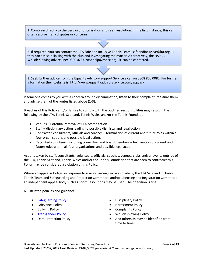1. Complain directly to the person or organisation and seek resolution. In the first instance, this can often resolve many disputes or concerns.

2. If required, you can contact the LTA Safe and Inclusive Tennis Team: safeandinclusive@lta.org.uk they can assist in liaising with the club and investigating the matter. Alternatively, the NSPCC Whistleblowing advice line: 0800 028 0285; help@nspcc.org.uk can be contacted.

3. Seek further advice from the Equality Advisory Support Service a call on 0808 800 0082. For further information their website is: http://www.equalityadvisoryservice.com/app/ask

If someone comes to you with a concern around discrimination, listen to their complaint, reassure them and advise them of the routes listed above (1-3).

Breaches of this Policy and/or failure to comply with the outlined responsibilities may result in the following by the LTA, Tennis Scotland, Tennis Wales and/or the Tennis Foundation:

- Venues Potential removal of LTA accreditation
- Staff disciplinary action leading to possible dismissal and legal action.
- Contracted consultants, officials and coaches termination of current and future roles within all four organisations and possible legal action.
- Recruited volunteers, including councillors and board members termination of current and future roles within all four organisations and possible legal action.

Actions taken by staff, consultants, volunteers, officials, coaches, venues, clubs and/or events outside of the LTA, Tennis Scotland, Tennis Wales and/or the Tennis Foundation that are seen to contradict this Policy may be considered a violation of this Policy.

Where an appeal is lodged in response to a safeguarding decision made by the LTA Safe and Inclusive Tennis Team and Safeguarding and Protection Committee and/or Licensing and Registration Committee, an independent appeal body such as Sport Resolutions may be used. Their decision is final.

#### **6. Related policies and guidance**

- 
- 
- 
- 
- 
- [Safeguarding Policy](https://www.lta.org.uk/globalassets/about-lta/safeguarding/british-tennis-safeguarding-policy.pdf) **Disciplinary Policy**
- Grievance Policy **Example 2018** 1 Contract Policy
- Bullying Policy **Complaints Policy** 
	- [Transgender Policy](https://www.lta.org.uk/about-the-lta/policies-and-rules/transgender-policy/) Whistle-blowing Policy
- Data Protection Policy **And others** as may be identified from time to time.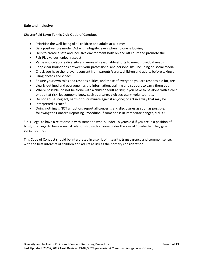#### **Safe and Inclusive**

#### **Chesterfield Lawn Tennis Club Code of Conduct**

- Prioritise the well-being of all children and adults at all times
- Be a positive role model. Act with integrity, even when no one is looking
- Help to create a safe and inclusive environment both on and off court and promote the
- Fair Play values: enjoy; respect
- Value and celebrate diversity and make all reasonable efforts to meet individual needs
- Keep clear boundaries between your professional and personal life, including on social media
- Check you have the relevant consent from parents/carers, children and adults before taking or
- using photos and videos
- Ensure your own roles and responsibilities, and those of everyone you are responsible for, are
- clearly outlined and everyone has the information, training and support to carry them out
- Where possible, do not be alone with a child or adult at risk; if you have to be alone with a child or adult at risk; let someone know such as a carer, club secretary, volunteer etc.
- Do not abuse, neglect, harm or discriminate against anyone; or act in a way that may be
- interpreted as such\*
- Doing nothing is NOT an option: report all concerns and disclosures as soon as possible, following the Concern Reporting Procedure. If someone is in immediate danger, dial 999.

\*It is illegal to have a relationship with someone who is under 18 years old if you are in a position of trust; it is illegal to have a sexual relationship with anyone under the age of 16 whether they give consent or not.

This Code of Conduct should be interpreted in a spirit of integrity, transparency and common sense, with the best interests of children and adults at risk as the primary consideration.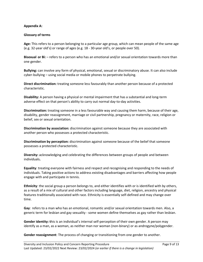#### **Appendix A:**

#### **Glossary of terms**

**Age:** This refers to a person belonging to a particular age group, which can mean people of the same age (e.g. 32-year old's) or range of ages (e.g. 18 - 30-year old's, or people over 50).

**Bisexual or Bi:** – refers to a person who has an emotional and/or sexual orientation towards more than one gender.

**Bullying:** can involve any form of physical, emotional, sexual or discriminatory abuse. It can also include cyber-bullying – using social media or mobile phones to perpetrate bullying.

**Direct discrimination:** treating someone less favourably than another person because of a protected characteristic.

**Disability:** A person having a physical or mental impairment that has a substantial and long-term adverse effect on that person's ability to carry out normal day-to-day activities.

**Discrimination:** treating someone in a less favourable way and causing them harm, because of their age, disability, gender reassignment, marriage or civil partnership, pregnancy or maternity, race, religion or belief, sex or sexual orientation.

**Discrimination by association:** discrimination against someone because they are associated with another person who possesses a protected characteristic.

**Discrimination by perception:** discrimination against someone because of the belief that someone possesses a protected characteristic.

**Diversity:** acknowledging and celebrating the differences between groups of people and between individuals**.**

**Equality**: treating everyone with fairness and respect and recognising and responding to the needs of individuals. Taking positive actions to address existing disadvantages and barriers affecting how people engage with and participate in tennis.

**Ethnicity**: the social group a person belongs to, and either identifies with or is identified with by others, as a result of a mix of cultural and other factors including language, diet, religion, ancestry and physical features traditionally associated with race. Ethnicity is essentially self-defined and may change over time.

**Gay**: refers to a man who has an emotional, romantic and/or sexual orientation towards men. Also, a generic term for lesbian and gay sexuality - some women define themselves as gay rather than lesbian.

**Gender identity: t**his is an individual's internal self-perception of their own gender. A person may identify as a man, as a woman, as neither man nor woman (non-binary) or as androgyne/polygender.

**Gender reassignment**: The process of changing or transitioning from one gender to another.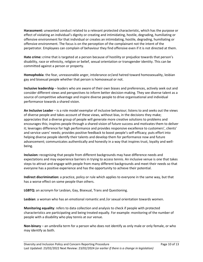**Harassment:** unwanted conduct related to a relevant protected characteristic, which has the purpose or effect of violating an individual's dignity or creating and intimidating, hostile, degrading, humiliating or offensive environment for that individual or creates an intimidating, hostile, degrading, humiliating or offensive environment. The focus is on the perception of the complainant not the intent of the perpetrator. Employees can complain of behaviour they find offensive even if it is not directed at them.

**Hate crime:** crime that is targeted at a person because of hostility or prejudice towards that person's disability, race or ethnicity, religion or belief, sexual orientation or transgender identity. This can be committed against a person or property.

**Homophobia**: the fear, unreasonable anger, intolerance or/and hatred toward homosexuality, lesbian gay and bisexual people whether that person is homosexual or not.

**Inclusive leadership** – leaders who are aware of their own biases and preferences, actively seek out and consider different views and perspectives to inform better decision-making. They see diverse talent as a source of competitive advantage and inspire diverse people to drive organisational and individual performance towards a shared vision.

**An Inclusive Leader** – is a role model exemplar of inclusive behaviour; listens to and seeks out the views of diverse people and takes account of these views, without bias, in the decisions they make; appreciates that a diverse group of people will generate more creative solutions to problems and encourages this; inspires people through a shared vision of future success and motivates them to deliver it; leverages difference for high performance and provides responsive excellence to customers', clients' and service users' needs; provides positive feedback to boost people's self-efficacy; puts effort into helping diverse people identify their talents and develop them for performance now and future advancement; communicates authentically and honestly in a way that inspires trust, loyalty and wellbeing.

**Inclusion:** recognising that people from different backgrounds may have difference needs and expectations and may experience barriers in trying to access tennis. An inclusive venue is one that takes steps to attract and engage with people from many different backgrounds and meet their needs so that everyone has a positive experience and has the opportunity to achieve their potential.

**Indirect discrimination:** a practice, policy or rule which applies to everyone in the same way, but that has a worse effect on some people than others.

**LGBTQ:** an acronym for Lesbian, Gay, Bisexual, Trans and Questioning.

**Lesbian**: a woman who has an emotional romantic and /or sexual orientation towards women.

**Monitoring equality**: refers to data collection and analysis to check if people with protected characteristics are participating and being treated equally. For example: monitoring of the number of people with a disability who play tennis at our venue.

**Non-binary** – an umbrella term for a person who does not identify as only male or only female, or who may identify as both.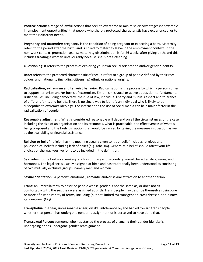**Positive action:** a range of lawful actions that seek to overcome or minimise disadvantages (for example in employment opportunities) that people who share a protected characteristic have experienced, or to meet their different needs.

**Pregnancy and maternity**: pregnancy is the condition of being pregnant or expecting a baby. Maternity refers to the period after the birth, and is linked to maternity leave in the employment context. In the non-work context, protection against maternity discrimination is for 26 weeks after giving birth, and this includes treating a woman unfavourably because she is breastfeeding.

**Questioning**: it refers to the process of exploring your own sexual orientation and/or gender identity.

**Race:** refers to the protected characteristic of race. It refers to a group of people defined by their race, colour, and nationality (including citizenship) ethnic or national origins.

**Radicalisation, extremism and terrorist behavior**: Radicalisation is the process by which a person comes to support terrorism and/or forms of extremism. Extremism is vocal or active opposition to fundamental British values, including democracy, the rule of law, individual liberty and mutual respect and tolerance of different faiths and beliefs. There is no single way to identify an individual who is likely to be susceptible to extremist ideology. The internet and the use of social media can be a major factor in the radicalisation of people.

**Reasonable adjustment**: What is considered reasonable will depend on all the circumstances of the case including the size of an organisation and its resources, what is practicable, the effectiveness of what is being proposed and the likely disruption that would be caused by taking the measure in question as well as the availability of financial assistance

**Religion or belief:** religion has the meaning usually given to it but belief includes religious and philosophical beliefs including lack of belief (e.g. atheism). Generally, a belief should affect your life choices or the way you live for it to be included in the definition.

**Sex:** refers to the biological makeup such as primary and secondary sexual characteristics, genes, and hormones. The legal sex is usually assigned at birth and has traditionally been understood as consisting of two mutually exclusive groups, namely men and women.

**Sexual orientation:** a person's emotional, romantic and/or sexual attraction to another person.

**Trans:** an umbrella term to describe people whose gender is not the same as, or does not sit comfortably with, the sex they were assigned at birth. Trans people may describe themselves using one or more of a wide variety of terms, including (but not limited to) transgender, cross dresser, non-binary, genderqueer (GQ).

**Transphobia**: the fear, unreasonable anger, dislike, intolerance or/and hatred toward trans people, whether that person has undergone gender reassignment or is perceived to have done that.

**Transsexual Person:** someone who has started the process of changing their gender identity is undergoing or has undergone gender reassignment.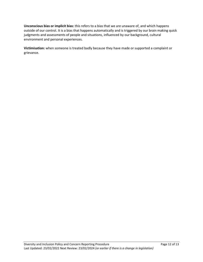**Unconscious bias or implicit bias:** this refers to a bias that we are unaware of, and which happens outside of our control. It is a bias that happens automatically and is triggered by our brain making quick judgments and assessments of people and situations, influenced by our background, cultural environment and personal experiences.

**Victimisation:** when someone is treated badly because they have made or supported a complaint or grievance.